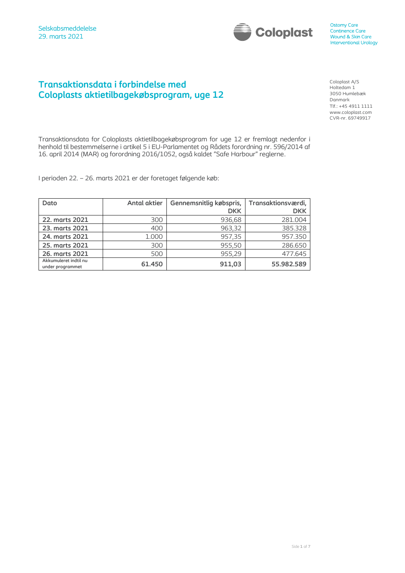

# **Transaktionsdata i forbindelse med Coloplasts aktietilbagekøbsprogram, uge 12**

Coloplast A/S Holtedam 1 3050 Humlebæk Danmark Tlf.: +45 4911 1111 www.coloplast.com CVR-nr. 69749917

Transaktionsdata for Coloplasts aktietilbagekøbsprogram for uge 12 er fremlagt nedenfor i henhold til bestemmelserne i artikel 5 i EU-Parlamentet og Rådets forordning nr. 596/2014 af 16. april 2014 (MAR) og forordning 2016/1052, også kaldet "Safe Harbour" reglerne.

I perioden 22. – 26. marts 2021 er der foretaget følgende køb:

| Dato                                      | <b>Antal aktier</b> | Gennemsnitlig købspris, | Transaktionsværdi, |
|-------------------------------------------|---------------------|-------------------------|--------------------|
|                                           |                     | <b>DKK</b>              | <b>DKK</b>         |
| 22. marts 2021                            | 300                 | 936,68                  | 281.004            |
| 23. marts 2021                            | 400                 | 963,32                  | 385.328            |
| 24. marts 2021                            | 1.000               | 957,35                  | 957.350            |
| 25. marts 2021                            | 300                 | 955,50                  | 286.650            |
| 26. marts 2021                            | 500                 | 955,29                  | 477.645            |
| Akkumuleret indtil nu<br>under programmet | 61.450              | 911,03                  | 55.982.589         |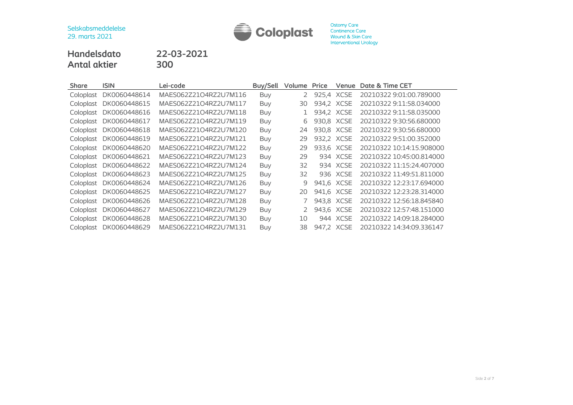

**Handelsdato 22-03-2021 Antal aktier 300**

| <b>Share</b> | ISIN         | Lei-code              | Buy/Sell   | Volume | Price      | Venue       | Date & Time CET          |
|--------------|--------------|-----------------------|------------|--------|------------|-------------|--------------------------|
| Coloplast    | DK0060448614 | MAES062Z21O4RZ2U7M116 | <b>Buy</b> | 2      | 925,4      | XCSE        | 20210322 9:01:00.789000  |
| Coloplast    | DK0060448615 | MAES062Z21O4RZ2U7M117 | Buy        | 30     | 934,2      | <b>XCSE</b> | 20210322 9:11:58.034000  |
| Coloplast    | DK0060448616 | MAES062Z21O4RZ2U7M118 | Buy        | 1      | 934,2      | <b>XCSE</b> | 20210322 9:11:58.035000  |
| Coloplast    | DK0060448617 | MAES062Z21O4RZ2U7M119 | Buy        | 6      | 930,8      | XCSE        | 20210322 9:30:56.680000  |
| Coloplast    | DK0060448618 | MAES062Z21O4RZ2U7M120 | <b>Buy</b> | 24     | 930,8      | <b>XCSE</b> | 20210322 9:30:56.680000  |
| Coloplast    | DK0060448619 | MAES062Z21O4RZ2U7M121 | Buy        | 29     | 932,2 XCSE |             | 20210322 9:51:00.352000  |
| Coloplast    | DK0060448620 | MAES062Z21O4RZ2U7M122 | Buy        | 29     | 933,6      | <b>XCSE</b> | 20210322 10:14:15.908000 |
| Coloplast    | DK0060448621 | MAES062Z21O4RZ2U7M123 | <b>Buy</b> | 29     | 934        | <b>XCSE</b> | 20210322 10:45:00.814000 |
| Coloplast    | DK0060448622 | MAES062Z21O4RZ2U7M124 | Buy        | 32     | 934        | <b>XCSE</b> | 20210322 11:15:24.407000 |
| Coloplast    | DK0060448623 | MAES062Z21O4RZ2U7M125 | Buy        | 32     | 936        | <b>XCSE</b> | 20210322 11:49:51.811000 |
| Coloplast    | DK0060448624 | MAES062Z21O4RZ2U7M126 | Buy        | 9      | 941,6      | <b>XCSE</b> | 20210322 12:23:17.694000 |
| Coloplast    | DK0060448625 | MAES062Z21O4RZ2U7M127 | <b>Buy</b> | 20     | 941,6      | <b>XCSE</b> | 20210322 12:23:28.314000 |
| Coloplast    | DK0060448626 | MAES062Z21O4RZ2U7M128 | Buy        |        | 943,8      | XCSE        | 20210322 12:56:18.845840 |
| Coloplast    | DK0060448627 | MAES062Z21O4RZ2U7M129 | Buy        | 2      | 943,6      | <b>XCSE</b> | 20210322 12:57:48.151000 |
| Coloplast    | DK0060448628 | MAES062Z21O4RZ2U7M130 | Buy        | 10     | 944        | <b>XCSE</b> | 20210322 14:09:18.284000 |
| Coloplast    | DK0060448629 | MAES062Z21O4RZ2U7M131 | <b>Buy</b> | 38     | 947,2      | <b>XCSE</b> | 20210322 14:34:09.336147 |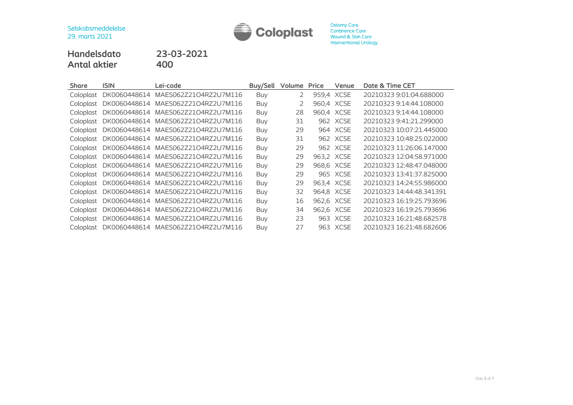

**Handelsdato 23-03-2021 Antal aktier** 

| <b>Share</b> | <b>ISIN</b> | Lei-code                           | Buy/Sell   | Volume | Price | Venue       | Date & Time CET          |
|--------------|-------------|------------------------------------|------------|--------|-------|-------------|--------------------------|
| Coloplast    |             | DK0060448614 MAES062Z21O4RZ2U7M116 | Buy        | 2      |       | 959,4 XCSE  | 20210323 9:01:04.688000  |
| Coloplast    |             | DK0060448614 MAES062Z21O4RZ2U7M116 | <b>Buy</b> |        |       | 960.4 XCSE  | 20210323 9:14:44.108000  |
| Coloplast    |             | DK0060448614 MAES062Z21O4RZ2U7M116 | Buy        | 28     |       | 960,4 XCSE  | 20210323 9:14:44.108000  |
| Coloplast    |             | DK0060448614 MAES062Z21O4RZ2U7M116 | Buy        | 31     |       | 962 XCSE    | 20210323 9:41:21.299000  |
| Coloplast    |             | DK0060448614 MAES062Z21O4RZ2U7M116 | Buy        | 29     |       | 964 XCSE    | 20210323 10:07:21.445000 |
| Coloplast    |             | DK0060448614 MAES062Z21O4RZ2U7M116 | Buy        | 31     |       | 962 XCSE    | 20210323 10:48:25.022000 |
| Coloplast    |             | DK0060448614 MAES062Z21O4RZ2U7M116 | Buy        | 29     |       | 962 XCSE    | 20210323 11:26:06.147000 |
| Coloplast    |             | DK0060448614 MAES062Z21O4RZ2U7M116 | Buy        | 29     |       | 963,2 XCSE  | 20210323 12:04:58.971000 |
| Coloplast    |             | DK0060448614 MAES062Z21O4RZ2U7M116 | Buy        | 29     |       | 968,6 XCSE  | 20210323 12:48:47.048000 |
| Coloplast    |             | DK0060448614 MAES062Z21O4RZ2U7M116 | Buy        | 29     |       | 965 XCSE    | 20210323 13:41:37.825000 |
| Coloplast    |             | DK0060448614 MAES062Z21O4RZ2U7M116 | Buy        | 29     |       | 963,4 XCSE  | 20210323 14:24:55.986000 |
| Coloplast    |             | DK0060448614 MAES062Z21O4RZ2U7M116 | Buy        | 32     |       | 964,8 XCSE  | 20210323 14:44:48.341391 |
| Coloplast    |             | DK0060448614 MAES062Z21O4RZ2U7M116 | Buy        | 16     |       | 962,6 XCSE  | 20210323 16:19:25.793696 |
| Coloplast    |             | DK0060448614 MAES062Z21O4RZ2U7M116 | Buy        | 34     |       | 962,6 XCSE  | 20210323 16:19:25.793696 |
| Coloplast    |             | DK0060448614 MAES062Z21O4RZ2U7M116 | Buy        | 23     | 963   | <b>XCSE</b> | 20210323 16:21:48.682578 |
| Coloplast    |             | DK0060448614 MAES062Z21O4RZ2U7M116 | Buy        | 27     |       | 963 XCSE    | 20210323 16:21:48.682606 |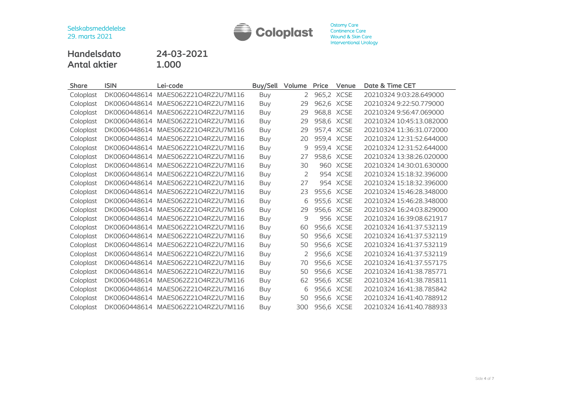

**Handelsdato 24-03-2021 Antal aktier 1.000**

| <b>Share</b> | <b>ISIN</b>  | Lei-code              | Buy/Sell   | Volume | Price | Venue       | Date & Time CET          |
|--------------|--------------|-----------------------|------------|--------|-------|-------------|--------------------------|
| Coloplast    | DK0060448614 | MAES062Z21O4RZ2U7M116 | Buy        | 2      |       | 965,2 XCSE  | 20210324 9:03:28.649000  |
| Coloplast    | DK0060448614 | MAES062Z21O4RZ2U7M116 | Buy        | 29     |       | 962,6 XCSE  | 20210324 9:22:50.779000  |
| Coloplast    | DK0060448614 | MAES062Z21O4RZ2U7M116 | Buy        | 29     | 968,8 | <b>XCSE</b> | 20210324 9:56:47.069000  |
| Coloplast    | DK0060448614 | MAES062Z21O4RZ2U7M116 | Buy        | 29     |       | 958,6 XCSE  | 20210324 10:45:13.082000 |
| Coloplast    | DK0060448614 | MAES062Z21O4RZ2U7M116 | <b>Buy</b> | 29     |       | 957,4 XCSE  | 20210324 11:36:31.072000 |
| Coloplast    | DK0060448614 | MAES062Z21O4RZ2U7M116 | Buy        | 20     |       | 959,4 XCSE  | 20210324 12:31:52.644000 |
| Coloplast    | DK0060448614 | MAES062Z21O4RZ2U7M116 | Buy        | 9      |       | 959,4 XCSE  | 20210324 12:31:52.644000 |
| Coloplast    | DK0060448614 | MAES062Z21O4RZ2U7M116 | <b>Buy</b> | 27     |       | 958,6 XCSE  | 20210324 13:38:26.020000 |
| Coloplast    | DK0060448614 | MAES062Z21O4RZ2U7M116 | Buy        | 30     | 960   | <b>XCSE</b> | 20210324 14:30:01.630000 |
| Coloplast    | DK0060448614 | MAES062Z21O4RZ2U7M116 | Buy        | 2      |       | 954 XCSE    | 20210324 15:18:32.396000 |
| Coloplast    | DK0060448614 | MAES062Z21O4RZ2U7M116 | <b>Buy</b> | 27     |       | 954 XCSE    | 20210324 15:18:32.396000 |
| Coloplast    | DK0060448614 | MAES062Z21O4RZ2U7M116 | <b>Buy</b> | 23     | 955,6 | <b>XCSE</b> | 20210324 15:46:28.348000 |
| Coloplast    | DK0060448614 | MAES062Z21O4RZ2U7M116 | Buy        | 6      |       | 955,6 XCSE  | 20210324 15:46:28.348000 |
| Coloplast    | DK0060448614 | MAES062Z21O4RZ2U7M116 | Buy        | 29     | 956,6 | <b>XCSE</b> | 20210324 16:24:03.829000 |
| Coloplast    | DK0060448614 | MAES062Z21O4RZ2U7M116 | <b>Buy</b> | 9      | 956   | <b>XCSE</b> | 20210324 16:39:08.621917 |
| Coloplast    | DK0060448614 | MAES062Z21O4RZ2U7M116 | <b>Buy</b> | 60     | 956,6 | <b>XCSE</b> | 20210324 16:41:37.532119 |
| Coloplast    | DK0060448614 | MAES062Z21O4RZ2U7M116 | Buy        | 50     | 956,6 | <b>XCSE</b> | 20210324 16:41:37.532119 |
| Coloplast    | DK0060448614 | MAES062Z21O4RZ2U7M116 | <b>Buy</b> | 50     |       | 956,6 XCSE  | 20210324 16:41:37.532119 |
| Coloplast    | DK0060448614 | MAES062Z21O4RZ2U7M116 | Buy        |        |       | 956,6 XCSE  | 20210324 16:41:37.532119 |
| Coloplast    | DK0060448614 | MAES062Z21O4RZ2U7M116 | Buy        | 70     |       | 956,6 XCSE  | 20210324 16:41:37.557175 |
| Coloplast    | DK0060448614 | MAES062Z21O4RZ2U7M116 | <b>Buy</b> | 50     | 956,6 | <b>XCSE</b> | 20210324 16:41:38.785771 |
| Coloplast    | DK0060448614 | MAES062Z21O4RZ2U7M116 | <b>Buy</b> | 62     |       | 956,6 XCSE  | 20210324 16:41:38.785811 |
| Coloplast    | DK0060448614 | MAES062Z21O4RZ2U7M116 | <b>Buy</b> | 6      |       | 956,6 XCSE  | 20210324 16:41:38.785842 |
| Coloplast    | DK0060448614 | MAES062Z21O4RZ2U7M116 | Buy        | 50     | 956,6 | <b>XCSE</b> | 20210324 16:41:40.788912 |
| Coloplast    | DK0060448614 | MAES062Z21O4RZ2U7M116 | <b>Buv</b> | 300    | 956,6 | <b>XCSE</b> | 20210324 16:41:40.788933 |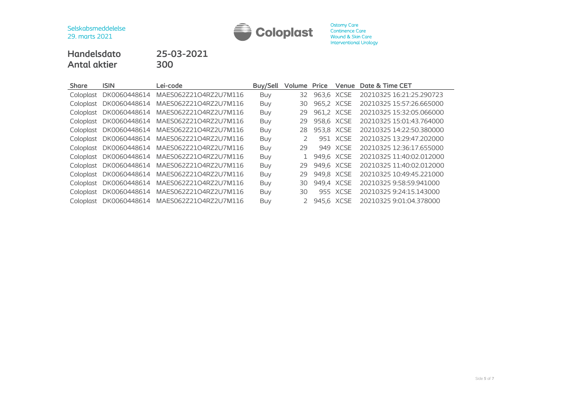

**Handelsdato 25-03-2021 Antal aktier 300**

| <b>Share</b> | <b>ISIN</b>  | Lei-code              | Buy/Sell   | Volume Price |            | Venue      | Date & Time CET          |
|--------------|--------------|-----------------------|------------|--------------|------------|------------|--------------------------|
| Coloplast    | DK0060448614 | MAES062Z21O4RZ2U7M116 | Buy        | 32           |            | 963.6 XCSE | 20210325 16:21:25.290723 |
| Coloplast    | DK0060448614 | MAES062Z21O4RZ2U7M116 | Buy        | 30           | 965,2 XCSE |            | 20210325 15:57:26.665000 |
| Coloplast    | DK0060448614 | MAES062Z21O4RZ2U7M116 | <b>Buy</b> | 29           |            | 961,2 XCSE | 20210325 15:32:05.066000 |
| Coloplast    | DK0060448614 | MAES062Z21O4RZ2U7M116 | Buy        | 29           |            | 958,6 XCSE | 20210325 15:01:43.764000 |
| Coloplast    | DK0060448614 | MAES062Z21O4RZ2U7M116 | Buy        | 28           |            | 953,8 XCSE | 20210325 14:22:50.380000 |
| Coloplast    | DK0060448614 | MAES062Z21O4RZ2U7M116 | <b>Buy</b> |              |            | 951 XCSE   | 20210325 13:29:47.202000 |
| Coloplast    | DK0060448614 | MAES062Z21O4RZ2U7M116 | Buy        | 29           |            | 949 XCSE   | 20210325 12:36:17.655000 |
| Coloplast    | DK0060448614 | MAES062Z21O4RZ2U7M116 | <b>Buy</b> |              |            | 949,6 XCSE | 20210325 11:40:02.012000 |
| Coloplast    | DK0060448614 | MAES062Z21O4RZ2U7M116 | <b>Buy</b> | 29           | 949,6 XCSE |            | 20210325 11:40:02.012000 |
| Coloplast    | DK0060448614 | MAES062Z21O4RZ2U7M116 | Buy        | 29           | 949,8 XCSE |            | 20210325 10:49:45.221000 |
| Coloplast    | DK0060448614 | MAES062Z21O4RZ2U7M116 | <b>Buy</b> | 30           | 949,4 XCSE |            | 20210325 9:58:59.941000  |
| Coloplast    | DK0060448614 | MAES062Z21O4RZ2U7M116 | <b>Buy</b> | 30           |            | 955 XCSE   | 20210325 9:24:15.143000  |
| Coloplast    | DK0060448614 | MAES062Z21O4RZ2U7M116 | Buy        |              |            | 945.6 XCSE | 20210325 9:01:04.378000  |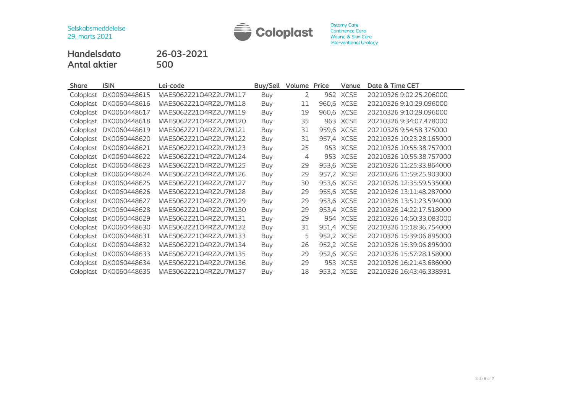

**Handelsdato 26-03-2021 Antal aktier 500**

**Share ISIN Lei-code Buy/Sell Volume Price Venue Date & Time CET** Coloplast DK0060448615 MAES062Z21O4RZ2U7M117 Buy 2 962 XCSE 20210326 9:02:25.206000 Coloplast DK0060448616 MAES062Z21O4RZ2U7M118 Buy 11 960,6 XCSE 20210326 9:10:29.096000 Coloplast DK0060448617 MAES062Z21O4RZ2U7M119 Buy 19 960,6 XCSE 20210326 9:10:29.096000 Coloplast DK0060448618 MAES062Z21O4RZ2U7M120 Buy 35 963 XCSE 20210326 9:34:07.478000 Coloplast DK0060448619 MAES062Z21O4RZ2U7M121 Buy 31 959,6 XCSE 20210326 9:54:58.375000 Coloplast DK0060448620 MAES062Z21O4RZ2U7M122 Buy 31 957,4 XCSE 20210326 10:23:28.165000 Coloplast DK0060448621 MAES062Z21O4RZ2U7M123 Buy 25 953 XCSE 20210326 10:55:38.757000 Coloplast DK0060448622 MAES062Z21O4RZ2U7M124 Buy 4 953 XCSE 20210326 10:55:38.757000 Coloplast DK0060448623 MAES062Z21O4RZ2U7M125 Buy 29 953,6 XCSE 20210326 11:25:33.864000 Coloplast DK0060448624 MAES062Z21O4RZ2U7M126 Buy 29 957,2 XCSE 20210326 11:59:25.903000 Coloplast DK0060448625 MAES062Z21O4RZ2U7M127 Buy 30 953,6 XCSE 20210326 12:35:59.535000 Coloplast DK0060448626 MAES062Z21O4RZ2U7M128 Buy 29 955,6 XCSE 20210326 13:11:48.287000 Coloplast DK0060448627 MAES062Z21O4RZ2U7M129 Buy 29 953,6 XCSE 20210326 13:51:23.594000 Coloplast DK0060448628 MAES062Z21O4RZ2U7M130 Buy 29 953,4 XCSE 20210326 14:22:17.518000 Coloplast DK0060448629 MAES062Z21O4RZ2U7M131 Buy 29 954 XCSE 20210326 14:50:33.083000 Coloplast DK0060448630 MAES062Z21O4RZ2U7M132 Buy 31 951,4 XCSE 20210326 15:18:36.754000 Coloplast DK0060448631 MAES062Z21O4RZ2U7M133 Buy 5 952,2 XCSE 20210326 15:39:06.895000 Coloplast DK0060448632 MAES062Z21O4RZ2U7M134 Buy 26 952,2 XCSE 20210326 15:39:06.895000 Coloplast DK0060448633 MAES062Z21O4RZ2U7M135 Buy 29 952,6 XCSE 20210326 15:57:28.158000 Coloplast DK0060448634 MAES062Z21O4RZ2U7M136 Buy 29 953 XCSE 20210326 16:21:43.686000 Coloplast DK0060448635 MAES062Z21O4RZ2U7M137 Buy 18 953,2 XCSE 20210326 16:43:46.338931